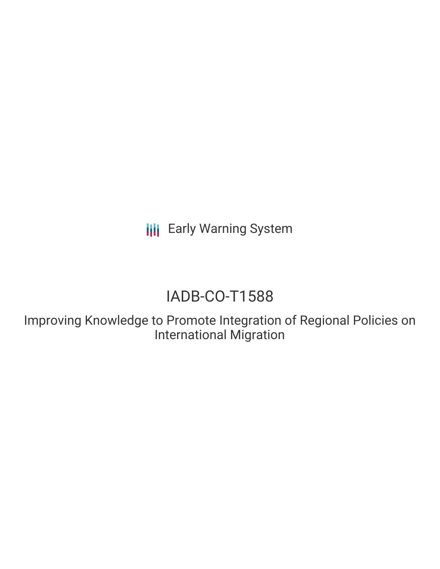**III** Early Warning System

# IADB-CO-T1588

Improving Knowledge to Promote Integration of Regional Policies on International Migration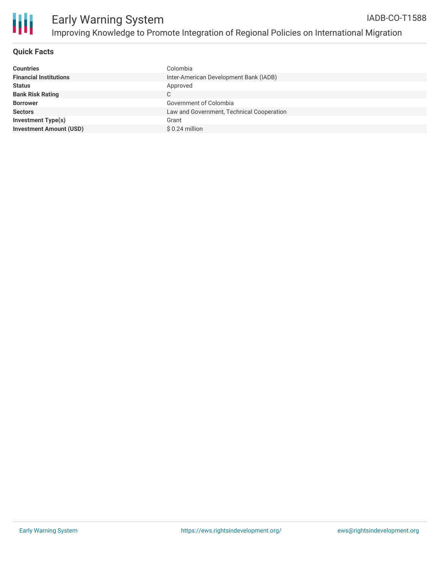

#### **Quick Facts**

| Colombia                                  |
|-------------------------------------------|
| Inter-American Development Bank (IADB)    |
| Approved                                  |
| С                                         |
| Government of Colombia                    |
| Law and Government, Technical Cooperation |
| Grant                                     |
| $$0.24$ million                           |
|                                           |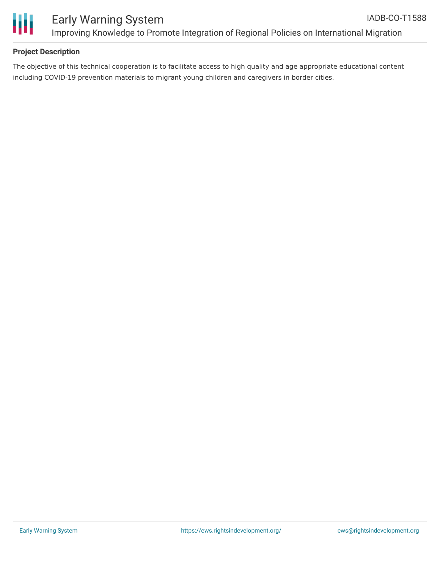

## **Project Description**

The objective of this technical cooperation is to facilitate access to high quality and age appropriate educational content including COVID-19 prevention materials to migrant young children and caregivers in border cities.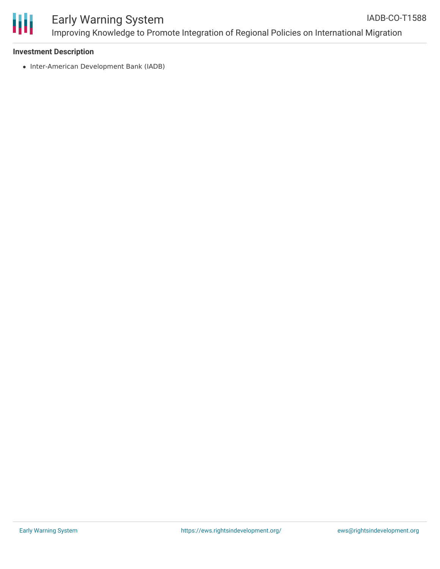

#### **Investment Description**

• Inter-American Development Bank (IADB)